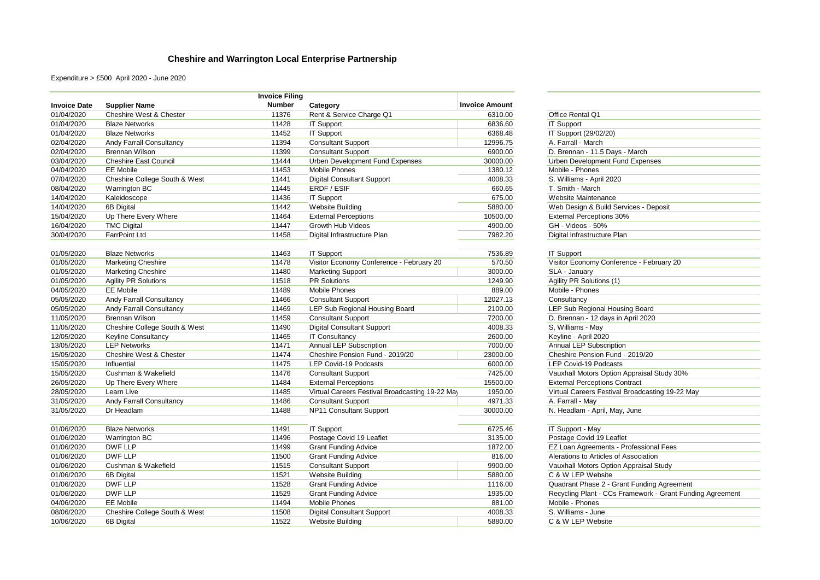## **Cheshire and Warrington Local Enterprise Partnership**

Expenditure > £500 April 2020 - June 2020

|                     |                                    | <b>Invoice Filing</b> |                                                 |                       |                                                           |
|---------------------|------------------------------------|-----------------------|-------------------------------------------------|-----------------------|-----------------------------------------------------------|
| <b>Invoice Date</b> | <b>Supplier Name</b>               | <b>Number</b>         | Category                                        | <b>Invoice Amount</b> |                                                           |
| 01/04/2020          | <b>Cheshire West &amp; Chester</b> | 11376                 | Rent & Service Charge Q1                        | 6310.00               | Office Rental Q1                                          |
| 01/04/2020          | <b>Blaze Networks</b>              | 11428                 | <b>IT Support</b>                               | 6836.60               | <b>IT Support</b>                                         |
| 01/04/2020          | <b>Blaze Networks</b>              | 11452                 | <b>IT Support</b>                               | 6368.48               | IT Support (29/02/20)                                     |
| 02/04/2020          | Andy Farrall Consultancy           | 11394                 | <b>Consultant Support</b>                       | 12996.75              | A. Farrall - March                                        |
| 02/04/2020          | <b>Brennan Wilson</b>              | 11399                 | <b>Consultant Support</b>                       | 6900.00               | D. Brennan - 11.5 Days - March                            |
| 03/04/2020          | <b>Cheshire East Council</b>       | 11444                 | Urben Development Fund Expenses                 | 30000.00              | Urben Development Fund Expenses                           |
| 04/04/2020          | <b>EE</b> Mobile                   | 11453                 | <b>Mobile Phones</b>                            | 1380.12               | Mobile - Phones                                           |
| 07/04/2020          | Cheshire College South & West      | 11441                 | <b>Digital Consultant Support</b>               | 4008.33               | S. Williams - April 2020                                  |
| 08/04/2020          | <b>Warrington BC</b>               | 11445                 | ERDF / ESIF                                     | 660.65                | T. Smith - March                                          |
| 14/04/2020          | Kaleidoscope                       | 11436                 | <b>IT Support</b>                               | 675.00                | Website Maintenance                                       |
| 14/04/2020          | 6B Digital                         | 11442                 | <b>Website Building</b>                         | 5880.00               | Web Design & Build Services - Deposit                     |
| 15/04/2020          | Up There Every Where               | 11464                 | <b>External Perceptions</b>                     | 10500.00              | <b>External Perceptions 30%</b>                           |
| 16/04/2020          | <b>TMC Digital</b>                 | 11447                 | Growth Hub Videos                               | 4900.00               | GH - Videos - 50%                                         |
| 30/04/2020          | <b>FarrPoint Ltd</b>               | 11458                 | Digital Infrastructure Plan                     | 7982.20               | Digital Infrastructure Plan                               |
| 01/05/2020          | <b>Blaze Networks</b>              | 11463                 | <b>IT Support</b>                               | 7536.89               | <b>IT Support</b>                                         |
| 01/05/2020          | <b>Marketing Cheshire</b>          | 11478                 | Visitor Economy Conference - February 20        | 570.50                | Visitor Economy Conference - February 20                  |
| 01/05/2020          | <b>Marketing Cheshire</b>          | 11480                 | <b>Marketing Support</b>                        | 3000.00               | SLA - January                                             |
| 01/05/2020          | <b>Agility PR Solutions</b>        | 11518                 | <b>PR Solutions</b>                             | 1249.90               | Agility PR Solutions (1)                                  |
| 04/05/2020          | <b>EE Mobile</b>                   | 11489                 | <b>Mobile Phones</b>                            | 889.00                | Mobile - Phones                                           |
| 05/05/2020          | Andy Farrall Consultancy           | 11466                 | <b>Consultant Support</b>                       | 12027.13              | Consultancy                                               |
| 05/05/2020          | Andy Farrall Consultancy           | 11469                 | LEP Sub Regional Housing Board                  | 2100.00               | LEP Sub Regional Housing Board                            |
| 11/05/2020          | <b>Brennan Wilson</b>              | 11459                 | <b>Consultant Support</b>                       | 7200.00               | D. Brennan - 12 days in April 2020                        |
| 11/05/2020          | Cheshire College South & West      | 11490                 | <b>Digital Consultant Support</b>               | 4008.33               | S, Williams - May                                         |
| 12/05/2020          | <b>Keyline Consultancy</b>         | 11465                 | <b>IT Consultancy</b>                           | 2600.00               | Keyline - April 2020                                      |
| 13/05/2020          | <b>LEP Networks</b>                | 11471                 | <b>Annual LEP Subscription</b>                  | 7000.00               | Annual LEP Subscription                                   |
| 15/05/2020          | Cheshire West & Chester            | 11474                 | Cheshire Pension Fund - 2019/20                 | 23000.00              | Cheshire Pension Fund - 2019/20                           |
| 15/05/2020          | Influential                        | 11475                 | LEP Covid-19 Podcasts                           | 6000.00               | LEP Covid-19 Podcasts                                     |
| 15/05/2020          | Cushman & Wakefield                | 11476                 | <b>Consultant Support</b>                       | 7425.00               | Vauxhall Motors Option Appraisal Study 30%                |
| 26/05/2020          | Up There Every Where               | 11484                 | <b>External Perceptions</b>                     | 15500.00              | <b>External Perceptions Contract</b>                      |
| 28/05/2020          | Learn Live                         | 11485                 | Virtual Careers Festival Broadcasting 19-22 May | 1950.00               | Virtual Careers Festival Broadcasting 19-22 May           |
| 31/05/2020          | Andy Farrall Consultancy           | 11486                 | <b>Consultant Support</b>                       | 4971.33               | A. Farrall - May                                          |
| 31/05/2020          | Dr Headlam                         | 11488                 | NP11 Consultant Support                         | 30000.00              | N. Headlam - April, May, June                             |
|                     |                                    |                       |                                                 |                       |                                                           |
| 01/06/2020          | <b>Blaze Networks</b>              | 11491                 | <b>IT Support</b>                               | 6725.46               | IT Support - May                                          |
| 01/06/2020          | Warrington BC                      | 11496                 | Postage Covid 19 Leaflet                        | 3135.00               | Postage Covid 19 Leaflet                                  |
| 01/06/2020          | <b>DWF LLP</b>                     | 11499                 | <b>Grant Funding Advice</b>                     | 1872.00               | EZ Loan Agreements - Professional Fees                    |
| 01/06/2020          | DWF LLP                            | 11500                 | <b>Grant Funding Advice</b>                     | 816.00                | Alerations to Articles of Association                     |
| 01/06/2020          | Cushman & Wakefield                | 11515                 | <b>Consultant Support</b>                       | 9900.00               | Vauxhall Motors Option Appraisal Study                    |
| 01/06/2020          | 6B Digital                         | 11521                 | <b>Website Building</b>                         | 5880.00               | C & W LEP Website                                         |
| 01/06/2020          | DWF LLP                            | 11528                 | <b>Grant Funding Advice</b>                     | 1116.00               | Quadrant Phase 2 - Grant Funding Agreement                |
| 01/06/2020          | DWF LLP                            | 11529                 | <b>Grant Funding Advice</b>                     | 1935.00               | Recycling Plant - CCs Framework - Grant Funding Agreement |
| 04/06/2020          | <b>EE Mobile</b>                   | 11494                 | <b>Mobile Phones</b>                            | 881.00                | Mobile - Phones                                           |
| 08/06/2020          | Cheshire College South & West      | 11508                 | <b>Digital Consultant Support</b>               | 4008.33               | S. Williams - June                                        |
| 10/06/2020          | 6B Digital                         | 11522                 | <b>Website Building</b>                         | 5880.00               | C & W LEP Website                                         |

| Office Rental Q1                                |  |  |  |  |  |
|-------------------------------------------------|--|--|--|--|--|
| <b>IT Support</b>                               |  |  |  |  |  |
| IT Support (29/02/20)                           |  |  |  |  |  |
| A. Farrall - March                              |  |  |  |  |  |
| D. Brennan - 11.5 Days - March                  |  |  |  |  |  |
| <b>Urben Development Fund Expenses</b>          |  |  |  |  |  |
| Mobile - Phones                                 |  |  |  |  |  |
| S. Williams - April 2020                        |  |  |  |  |  |
| T. Smith - March                                |  |  |  |  |  |
| Website Maintenance                             |  |  |  |  |  |
| Web Design & Build Services - Deposit           |  |  |  |  |  |
| <b>External Perceptions 30%</b>                 |  |  |  |  |  |
| GH - Videos - 50%                               |  |  |  |  |  |
| Digital Infrastructure Plan                     |  |  |  |  |  |
|                                                 |  |  |  |  |  |
| <b>IT Support</b>                               |  |  |  |  |  |
| Visitor Economy Conference - February 20        |  |  |  |  |  |
| SLA - January                                   |  |  |  |  |  |
| Agility PR Solutions (1)                        |  |  |  |  |  |
| Mobile - Phones                                 |  |  |  |  |  |
| Consultancy                                     |  |  |  |  |  |
| LEP Sub Regional Housing Board                  |  |  |  |  |  |
| D. Brennan - 12 days in April 2020              |  |  |  |  |  |
| S. Williams - May                               |  |  |  |  |  |
| Keyline - April 2020                            |  |  |  |  |  |
| Annual LEP Subscription                         |  |  |  |  |  |
| Cheshire Pension Fund - 2019/20                 |  |  |  |  |  |
| <b>LEP Covid-19 Podcasts</b>                    |  |  |  |  |  |
| Vauxhall Motors Option Appraisal Study 30%      |  |  |  |  |  |
| <b>External Perceptions Contract</b>            |  |  |  |  |  |
| Virtual Careers Festival Broadcasting 19-22 May |  |  |  |  |  |
| A. Farrall - May                                |  |  |  |  |  |
| N. Headlam - April, May, June                   |  |  |  |  |  |
|                                                 |  |  |  |  |  |
| IT Support - May                                |  |  |  |  |  |
| Poetago Covid 10 Loaflot                        |  |  |  |  |  |

| 2200000                                                   |
|-----------------------------------------------------------|
| Postage Covid 19 Leaflet                                  |
| EZ Loan Agreements - Professional Fees                    |
| Alerations to Articles of Association                     |
| Vauxhall Motors Option Appraisal Study                    |
| C & W LEP Website                                         |
| Quadrant Phase 2 - Grant Funding Agreement                |
| Recycling Plant - CCs Framework - Grant Funding Agreement |
| Mobile - Phones                                           |
| S. Williams - June                                        |
| C & W LEP Website                                         |
|                                                           |